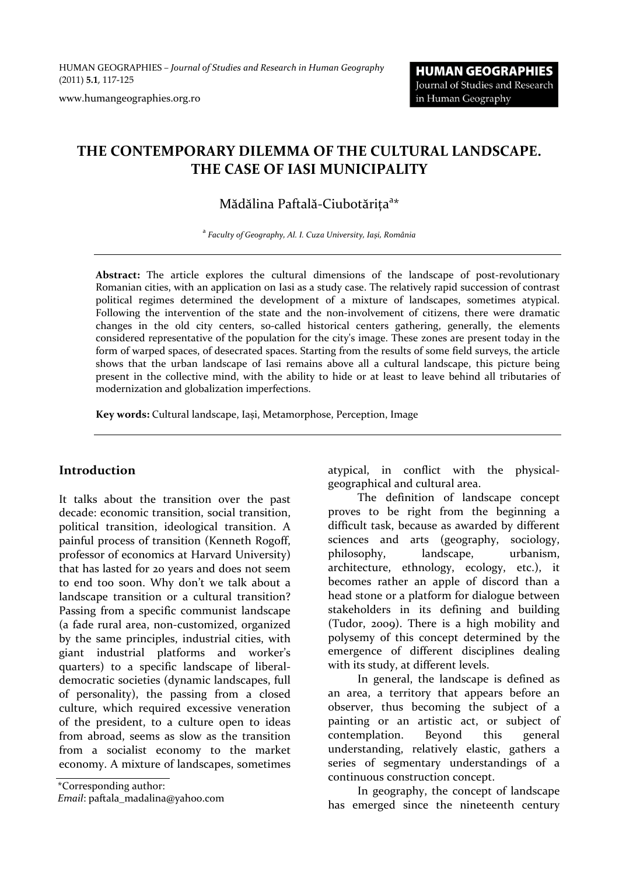HUMAN GEOGRAPHIES *– Journal of Studies and Research in Human Geography* (2011) **5.1**, 117‐125

www.humangeographies.org.ro

# **THE CONTEMPORARY DILEMMA OF THE CULTURAL LANDSCAPE. THE CASE OF IASI MUNICIPALITY**

# Mădălina Paftală-Ciubotărița<sup>a\*</sup>

<sup>a</sup> *Faculty of Geography, Al. I. Cuza University, Iași, România*

Abstract: The article explores the cultural dimensions of the landscape of post-revolutionary Romanian cities, with an application on Iasi as a study case. The relatively rapid succession of contrast political regimes determined the development of a mixture of landscapes, sometimes atypical. Following the intervention of the state and the non-involvement of citizens, there were dramatic changes in the old city centers, so-called historical centers gathering, generally, the elements considered representative of the population for the city's image. These zones are present today in the form of warped spaces, of desecrated spaces. Starting from the results of some field surveys, the article shows that the urban landscape of Iasi remains above all a cultural landscape, this picture being present in the collective mind, with the ability to hide or at least to leave behind all tributaries of modernization and globalization imperfections.

**Key words:** Cultural landscape, Iași, Metamorphose, Perception, Image

#### **Introduction**

It talks about the transition over the past decade: economic transition, social transition, political transition, ideological transition. A painful process of transition (Kenneth Rogoff, professor of economics at Harvard University) that has lasted for 20 years and does not seem to end too soon. Why don't we talk about a landscape transition or a cultural transition? Passing from a specific communist landscape (a fade rural area, non‐customized, organized by the same principles, industrial cities, with giant industrial platforms and worker's quarters) to a specific landscape of liberal‐ democratic societies (dynamic landscapes, full of personality), the passing from a closed culture, which required excessive veneration of the president, to a culture open to ideas from abroad, seems as slow as the transition from a socialist economy to the market economy. A mixture of landscapes, sometimes

\*Corresponding author:

*Email*: paftala\_madalina@yahoo.com

atypical, in conflict with the physical‐ geographical and cultural area.

The definition of landscape concept proves to be right from the beginning a difficult task, because as awarded by different sciences and arts (geography, sociology, philosophy, landscape, urbanism, architecture, ethnology, ecology, etc.), it becomes rather an apple of discord than a head stone or a platform for dialogue between stakeholders in its defining and building (Tudor, 2009). There is a high mobility and polysemy of this concept determined by the emergence of different disciplines dealing with its study, at different levels.

In general, the landscape is defined as an area, a territory that appears before an observer, thus becoming the subject of a painting or an artistic act, or subject of contemplation. Beyond this general understanding, relatively elastic, gathers a series of segmentary understandings of a continuous construction concept.

In geography, the concept of landscape has emerged since the nineteenth century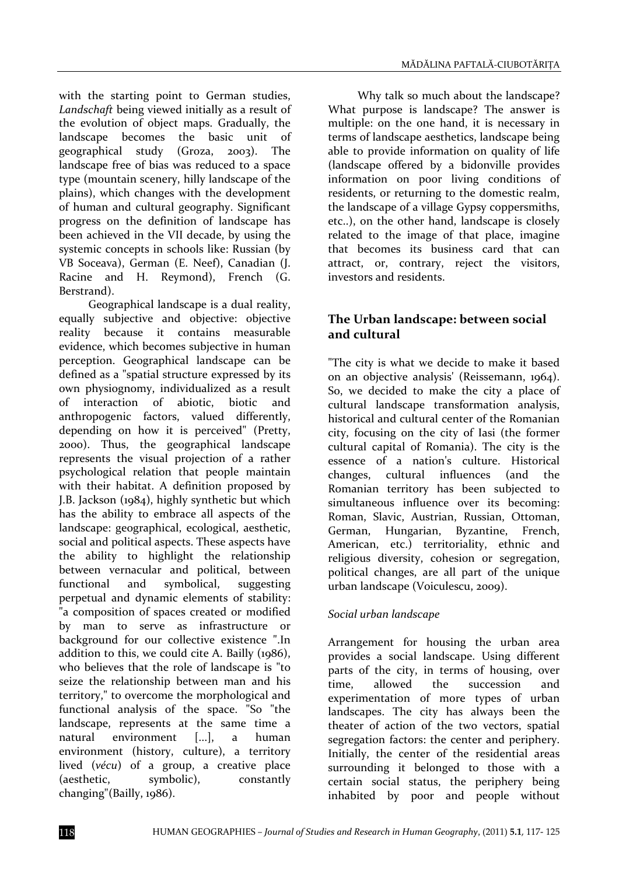with the starting point to German studies, *Landschaft* being viewed initially as a result of the evolution of object maps. Gradually, the landscape becomes the basic unit of geographical study (Groza, 2003). The landscape free of bias was reduced to a space type (mountain scenery, hilly landscape of the plains), which changes with the development of human and cultural geography. Significant progress on the definition of landscape has been achieved in the VII decade, by using the systemic concepts in schools like: Russian (by VB Soceava), German (E. Neef), Canadian (J. Racine and H. Reymond), French (G. Berstrand).

Geographical landscape is a dual reality, equally subjective and objective: objective reality because it contains measurable evidence, which becomes subjective in human perception. Geographical landscape can be defined as a "spatial structure expressed by its own physiognomy, individualized as a result of interaction of abiotic, biotic and anthropogenic factors, valued differently, depending on how it is perceived" (Pretty, 2000). Thus, the geographical landscape represents the visual projection of a rather psychological relation that people maintain with their habitat. A definition proposed by J.B. Jackson (1984), highly synthetic but which has the ability to embrace all aspects of the landscape: geographical, ecological, aesthetic, social and political aspects. These aspects have the ability to highlight the relationship between vernacular and political, between functional and symbolical, suggesting perpetual and dynamic elements of stability: "a composition of spaces created or modified by man to serve as infrastructure or background for our collective existence ".In addition to this, we could cite A. Bailly (1986), who believes that the role of landscape is "to seize the relationship between man and his territory," to overcome the morphological and functional analysis of the space. "So "the landscape, represents at the same time a natural environment [...], a human environment (history, culture), a territory lived (*vécu*) of a group, a creative place (aesthetic, symbolic), constantly changing"(Bailly, 1986).

Why talk so much about the landscape? What purpose is landscape? The answer is multiple: on the one hand, it is necessary in terms of landscape aesthetics, landscape being able to provide information on quality of life (landscape offered by a bidonville provides information on poor living conditions of residents, or returning to the domestic realm, the landscape of a village Gypsy coppersmiths, etc..), on the other hand, landscape is closely related to the image of that place, imagine that becomes its business card that can attract, or, contrary, reject the visitors, investors and residents.

## **The Urban landscape: between social and cultural**

"The city is what we decide to make it based on an objective analysis' (Reissemann, 1964). So, we decided to make the city a place of cultural landscape transformation analysis, historical and cultural center of the Romanian city, focusing on the city of Iasi (the former cultural capital of Romania). The city is the essence of a nation's culture. Historical changes, cultural influences (and the Romanian territory has been subjected to simultaneous influence over its becoming: Roman, Slavic, Austrian, Russian, Ottoman, German, Hungarian, Byzantine, French, American, etc.) territoriality, ethnic and religious diversity, cohesion or segregation, political changes, are all part of the unique urban landscape (Voiculescu, 2009).

#### *Social urban landscape*

Arrangement for housing the urban area provides a social landscape. Using different parts of the city, in terms of housing, over time, allowed the succession and experimentation of more types of urban landscapes. The city has always been the theater of action of the two vectors, spatial segregation factors: the center and periphery. Initially, the center of the residential areas surrounding it belonged to those with a certain social status, the periphery being inhabited by poor and people without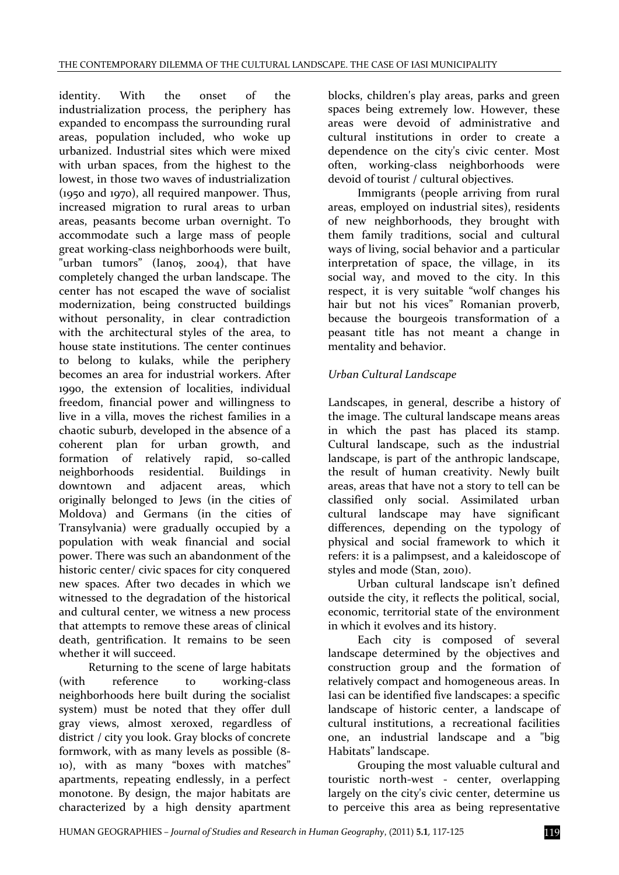identity. With the onset of the industrialization process, the periphery has expanded to encompass the surrounding rural areas, population included, who woke up urbanized. Industrial sites which were mixed with urban spaces, from the highest to the lowest, in those two waves of industrialization (1950 and 1970), all required manpower. Thus, increased migration to rural areas to urban areas, peasants become urban overnight. To accommodate such a large mass of people great working‐class neighborhoods were built, "urban tumors" (Ianoş, 2004), that have completely changed the urban landscape. The center has not escaped the wave of socialist modernization, being constructed buildings without personality, in clear contradiction with the architectural styles of the area, to house state institutions. The center continues to belong to kulaks, while the periphery becomes an area for industrial workers. After 1990, the extension of localities, individual freedom, financial power and willingness to live in a villa, moves the richest families in a chaotic suburb, developed in the absence of a coherent plan for urban growth, and formation of relatively rapid, so-called neighborhoods residential. Buildings in downtown and adjacent areas, which originally belonged to Jews (in the cities of Moldova) and Germans (in the cities of Transylvania) were gradually occupied by a population with weak financial and social power. There was such an abandonment of the historic center/ civic spaces for city conquered new spaces. After two decades in which we witnessed to the degradation of the historical and cultural center, we witness a new process that attempts to remove these areas of clinical death, gentrification. It remains to be seen whether it will succeed.

Returning to the scene of large habitats (with reference to working‐class neighborhoods here built during the socialist system) must be noted that they offer dull gray views, almost xeroxed, regardless of district / city you look. Gray blocks of concrete formwork, with as many levels as possible (8‐ 10), with as many "boxes with matches" apartments, repeating endlessly, in a perfect monotone. By design, the major habitats are characterized by a high density apartment

blocks, children's play areas, parks and green spaces being extremely low. However, these areas were devoid of administrative and cultural institutions in order to create a dependence on the city's civic center. Most often, working‐class neighborhoods were devoid of tourist / cultural objectives.

Immigrants (people arriving from rural areas, employed on industrial sites), residents of new neighborhoods, they brought with them family traditions, social and cultural ways of living, social behavior and a particular interpretation of space, the village, in its social way, and moved to the city. In this respect, it is very suitable "wolf changes his hair but not his vices" Romanian proverb, because the bourgeois transformation of a peasant title has not meant a change in mentality and behavior.

## *Urban Cultural Landscape*

Landscapes, in general, describe a history of the image. The cultural landscape means areas in which the past has placed its stamp. Cultural landscape, such as the industrial landscape, is part of the anthropic landscape, the result of human creativity. Newly built areas, areas that have not a story to tell can be classified only social. Assimilated urban cultural landscape may have significant differences, depending on the typology of physical and social framework to which it refers: it is a palimpsest, and a kaleidoscope of styles and mode (Stan, 2010).

Urban cultural landscape isn't defined outside the city, it reflects the political, social, economic, territorial state of the environment in which it evolves and its history.

Each city is composed of several landscape determined by the objectives and construction group and the formation of relatively compact and homogeneous areas. In Iasi can be identified five landscapes: a specific landscape of historic center, a landscape of cultural institutions, a recreational facilities one, an industrial landscape and a "big Habitats" landscape.

Grouping the most valuable cultural and touristic north-west - center, overlapping largely on the city's civic center, determine us to perceive this area as being representative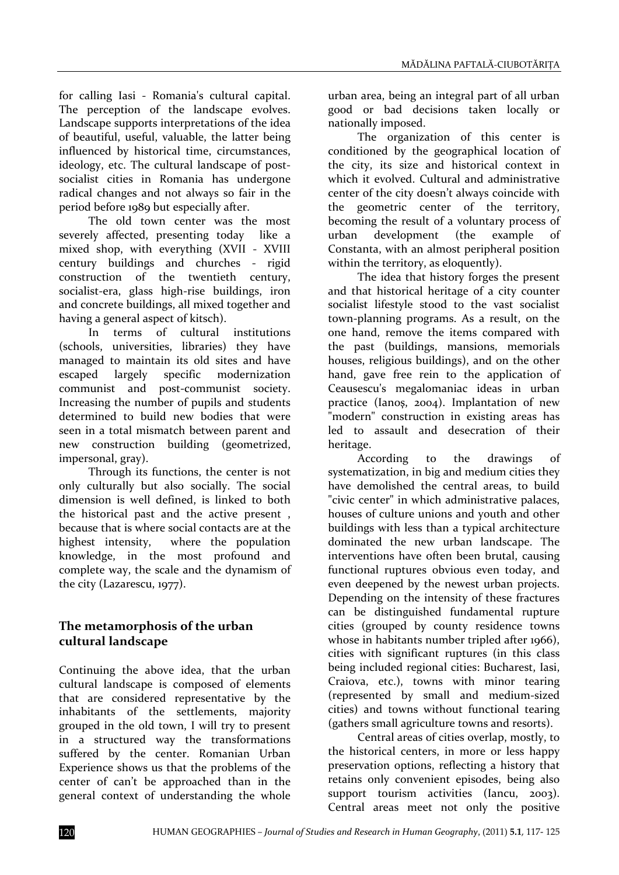for calling Iasi - Romania's cultural capital. The perception of the landscape evolves. Landscape supports interpretations of the idea of beautiful, useful, valuable, the latter being influenced by historical time, circumstances, ideology, etc. The cultural landscape of postsocialist cities in Romania has undergone radical changes and not always so fair in the period before 1989 but especially after.

The old town center was the most severely affected, presenting today like a mixed shop, with everything (XVII - XVIII century buildings and churches ‐ rigid construction of the twentieth century, socialist‐era, glass high‐rise buildings, iron and concrete buildings, all mixed together and having a general aspect of kitsch).

In terms of cultural institutions (schools, universities, libraries) they have managed to maintain its old sites and have escaped largely specific modernization communist and post-communist society. Increasing the number of pupils and students determined to build new bodies that were seen in a total mismatch between parent and new construction building (geometrized, impersonal, gray).

Through its functions, the center is not only culturally but also socially. The social dimension is well defined, is linked to both the historical past and the active present , because that is where social contacts are at the highest intensity, where the population knowledge, in the most profound and complete way, the scale and the dynamism of the city (Lazarescu, 1977).

## **The metamorphosis of the urban cultural landscape**

Continuing the above idea, that the urban cultural landscape is composed of elements that are considered representative by the inhabitants of the settlements, majority grouped in the old town, I will try to present in a structured way the transformations suffered by the center. Romanian Urban Experience shows us that the problems of the center of can't be approached than in the general context of understanding the whole

urban area, being an integral part of all urban good or bad decisions taken locally or nationally imposed.

The organization of this center is conditioned by the geographical location of the city, its size and historical context in which it evolved. Cultural and administrative center of the city doesn't always coincide with the geometric center of the territory, becoming the result of a voluntary process of urban development (the example of Constanta, with an almost peripheral position within the territory, as eloquently).

The idea that history forges the present and that historical heritage of a city counter socialist lifestyle stood to the vast socialist town‐planning programs. As a result, on the one hand, remove the items compared with the past (buildings, mansions, memorials houses, religious buildings), and on the other hand, gave free rein to the application of Ceausescu's megalomaniac ideas in urban practice (Ianoş, 2004). Implantation of new "modern" construction in existing areas has led to assault and desecration of their heritage.

According to the drawings of systematization, in big and medium cities they have demolished the central areas, to build "civic center" in which administrative palaces, houses of culture unions and youth and other buildings with less than a typical architecture dominated the new urban landscape. The interventions have often been brutal, causing functional ruptures obvious even today, and even deepened by the newest urban projects. Depending on the intensity of these fractures can be distinguished fundamental rupture cities (grouped by county residence towns whose in habitants number tripled after 1966), cities with significant ruptures (in this class being included regional cities: Bucharest, Iasi, Craiova, etc.), towns with minor tearing (represented by small and medium‐sized cities) and towns without functional tearing (gathers small agriculture towns and resorts).

Central areas of cities overlap, mostly, to the historical centers, in more or less happy preservation options, reflecting a history that retains only convenient episodes, being also support tourism activities (Iancu, 2003). Central areas meet not only the positive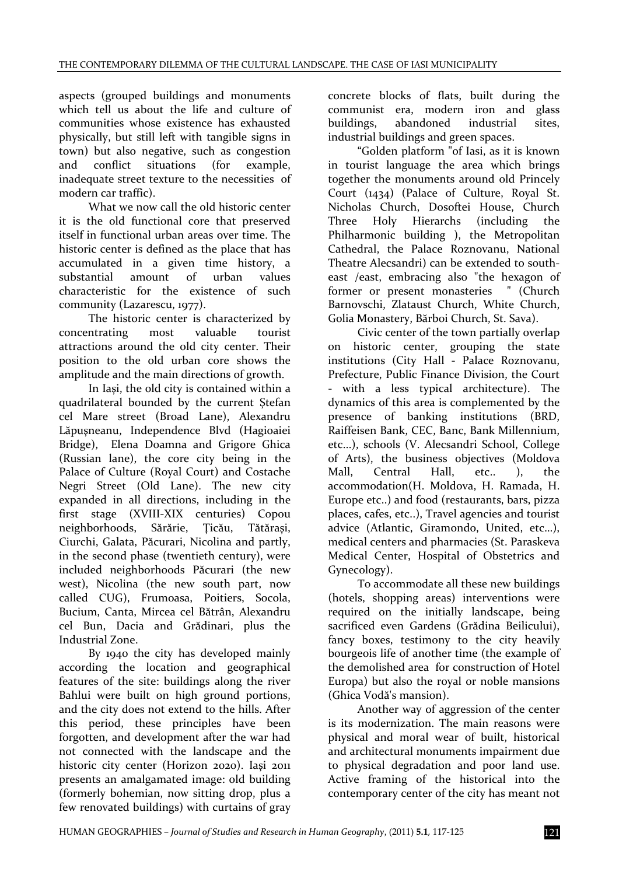aspects (grouped buildings and monuments which tell us about the life and culture of communities whose existence has exhausted physically, but still left with tangible signs in town) but also negative, such as congestion and conflict situations (for example, inadequate street texture to the necessities of modern car traffic).

What we now call the old historic center it is the old functional core that preserved itself in functional urban areas over time. The historic center is defined as the place that has accumulated in a given time history, a substantial amount of urban values characteristic for the existence of such community (Lazarescu, 1977).

The historic center is characterized by concentrating most valuable tourist attractions around the old city center. Their position to the old urban core shows the amplitude and the main directions of growth.

In Iași, the old city is contained within a quadrilateral bounded by the current Ștefan cel Mare street (Broad Lane), Alexandru Lăpuşneanu, Independence Blvd (Hagioaiei Bridge), Elena Doamna and Grigore Ghica (Russian lane), the core city being in the Palace of Culture (Royal Court) and Costache Negri Street (Old Lane). The new city expanded in all directions, including in the first stage (XVIII‐XIX centuries) Copou neighborhoods, Sărărie, Ţicău, Tătăraşi, Ciurchi, Galata, Păcurari, Nicolina and partly, in the second phase (twentieth century), were included neighborhoods Păcurari (the new west), Nicolina (the new south part, now called CUG), Frumoasa, Poitiers, Socola, Bucium, Canta, Mircea cel Bătrân, Alexandru cel Bun, Dacia and Grădinari, plus the Industrial Zone.

By 1940 the city has developed mainly according the location and geographical features of the site: buildings along the river Bahlui were built on high ground portions, and the city does not extend to the hills. After this period, these principles have been forgotten, and development after the war had not connected with the landscape and the historic city center (Horizon 2020). Iaşi 2011 presents an amalgamated image: old building (formerly bohemian, now sitting drop, plus a few renovated buildings) with curtains of gray

concrete blocks of flats, built during the communist era, modern iron and glass buildings, abandoned industrial sites, industrial buildings and green spaces.

"Golden platform "of Iasi, as it is known in tourist language the area which brings together the monuments around old Princely Court (1434) (Palace of Culture, Royal St. Nicholas Church, Dosoftei House, Church Three Holy Hierarchs (including the Philharmonic building ), the Metropolitan Cathedral, the Palace Roznovanu, National Theatre Alecsandri) can be extended to south‐ east /east, embracing also "the hexagon of former or present monasteries " (Church Barnovschi, Zlataust Church, White Church, Golia Monastery, Bărboi Church, St. Sava).

Civic center of the town partially overlap on historic center, grouping the state institutions (City Hall - Palace Roznovanu, Prefecture, Public Finance Division, the Court ‐ with a less typical architecture). The dynamics of this area is complemented by the presence of banking institutions (BRD, Raiffeisen Bank, CEC, Banc, Bank Millennium, etc...), schools (V. Alecsandri School, College of Arts), the business objectives (Moldova Mall, Central Hall, etc.. ), the accommodation(H. Moldova, H. Ramada, H. Europe etc..) and food (restaurants, bars, pizza places, cafes, etc..), Travel agencies and tourist advice (Atlantic, Giramondo, United, etc…), medical centers and pharmacies (St. Paraskeva Medical Center, Hospital of Obstetrics and Gynecology).

To accommodate all these new buildings (hotels, shopping areas) interventions were required on the initially landscape, being sacrificed even Gardens (Grădina Beilicului), fancy boxes, testimony to the city heavily bourgeois life of another time (the example of the demolished area for construction of Hotel Europa) but also the royal or noble mansions (Ghica Vodă's mansion).

Another way of aggression of the center is its modernization. The main reasons were physical and moral wear of built, historical and architectural monuments impairment due to physical degradation and poor land use. Active framing of the historical into the contemporary center of the city has meant not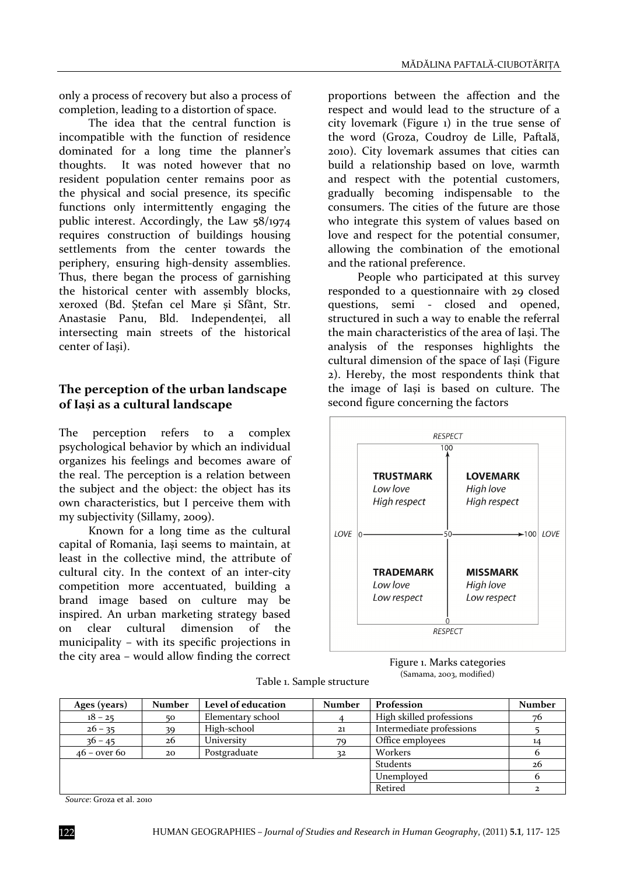only a process of recovery but also a process of completion, leading to a distortion of space.

The idea that the central function is incompatible with the function of residence dominated for a long time the planner's thoughts. It was noted however that no resident population center remains poor as the physical and social presence, its specific functions only intermittently engaging the public interest. Accordingly, the Law 58/1974 requires construction of buildings housing settlements from the center towards the periphery, ensuring high-density assemblies. Thus, there began the process of garnishing the historical center with assembly blocks, xeroxed (Bd. Ștefan cel Mare și Sfânt, Str. Anastasie Panu, Bld. Independenței, all intersecting main streets of the historical center of Iași).

#### **The perception of the urban landscape of Iași as a cultural landscape**

The perception refers to a complex psychological behavior by which an individual organizes his feelings and becomes aware of the real. The perception is a relation between the subject and the object: the object has its own characteristics, but I perceive them with my subjectivity (Sillamy, 2009).

Known for a long time as the cultural capital of Romania, Iași seems to maintain, at least in the collective mind, the attribute of cultural city. In the context of an inter‐city competition more accentuated, building a brand image based on culture may be inspired. An urban marketing strategy based on clear cultural dimension of the municipality – with its specific projections in the city area – would allow finding the correct

proportions between the affection and the respect and would lead to the structure of a city lovemark (Figure 1) in the true sense of the word (Groza, Coudroy de Lille, Paftală, 2010). City lovemark assumes that cities can build a relationship based on love, warmth and respect with the potential customers, gradually becoming indispensable to the consumers. The cities of the future are those who integrate this system of values based on love and respect for the potential consumer, allowing the combination of the emotional and the rational preference.

People who participated at this survey responded to a questionnaire with 29 closed questions, semi - closed and opened, structured in such a way to enable the referral the main characteristics of the area of Iași. The analysis of the responses highlights the cultural dimension of the space of Iași (Figure 2). Hereby, the most respondents think that the image of Iași is based on culture. The second figure concerning the factors



Figure 1. Marks categories (Samama, 2003, modified)

| Ages (years)   | <b>Number</b> | Level of education | <b>Number</b> | Profession               | <b>Number</b> |
|----------------|---------------|--------------------|---------------|--------------------------|---------------|
| $18 - 25$      | 50            | Elementary school  |               | High skilled professions | 76            |
| $26 - 35$      | 39            | High-school        | 21            | Intermediate professions |               |
| $36 - 45$      | 26            | University         | 79            | Office employees         |               |
| $46$ – over 60 | 20            | Postgraduate       | 32            | Workers                  |               |
|                |               |                    |               | Students                 | 26            |
|                |               |                    |               | Unemployed               | h             |
|                |               |                    |               | Retired                  |               |

*Source*: Groza et al. 2010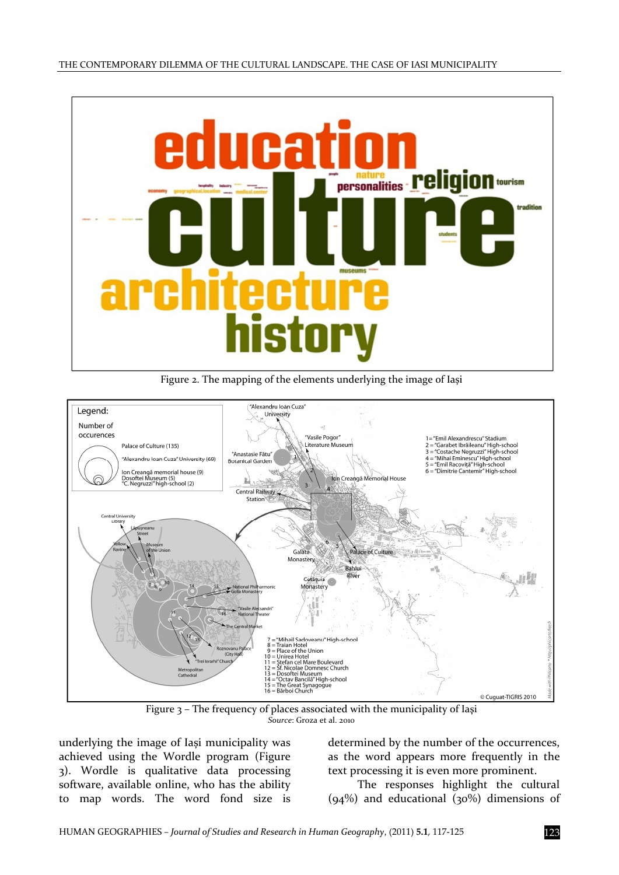

Figure 2. The mapping of the elements underlying the image of Iași



Figure 3 – The frequency of places associated with the municipality of Iaşi *Source*: Groza et al. 2010

underlying the image of Iași municipality was achieved using the Wordle program (Figure 3). Wordle is qualitative data processing software, available online, who has the ability to map words. The word fond size is

determined by the number of the occurrences, as the word appears more frequently in the text processing it is even more prominent.

The responses highlight the cultural  $(94%)$  and educational  $(30%)$  dimensions of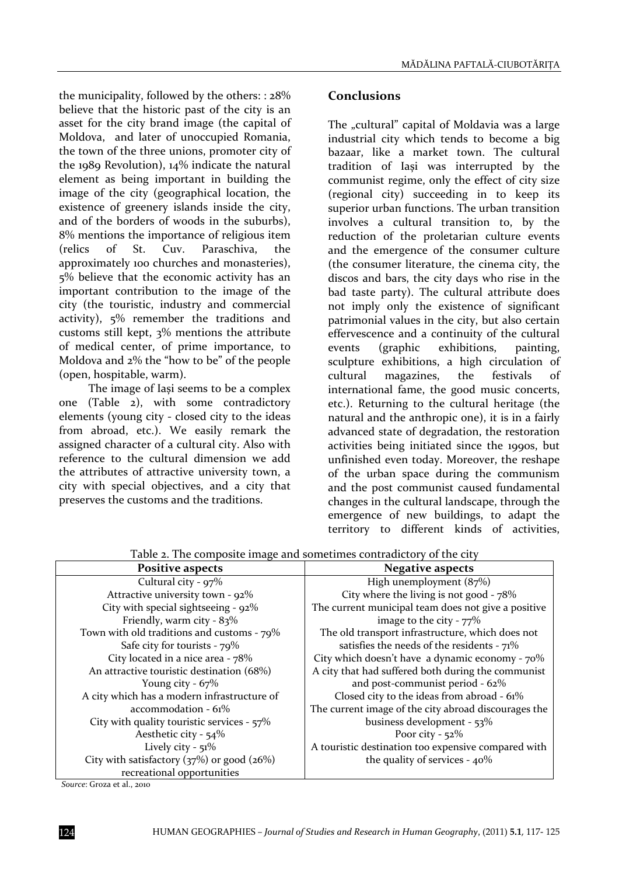the municipality, followed by the others: : 28% believe that the historic past of the city is an asset for the city brand image (the capital of Moldova, and later of unoccupied Romania, the town of the three unions, promoter city of the 1989 Revolution), 14% indicate the natural element as being important in building the image of the city (geographical location, the existence of greenery islands inside the city, and of the borders of woods in the suburbs), 8% mentions the importance of religious item (relics of St. Cuv. Paraschiva, the approximately 100 churches and monasteries), 5% believe that the economic activity has an important contribution to the image of the city (the touristic, industry and commercial activity), 5% remember the traditions and customs still kept, 3% mentions the attribute of medical center, of prime importance, to Moldova and 2% the "how to be" of the people (open, hospitable, warm).

The image of Iași seems to be a complex one (Table 2), with some contradictory elements (young city ‐ closed city to the ideas from abroad, etc.). We easily remark the assigned character of a cultural city. Also with reference to the cultural dimension we add the attributes of attractive university town, a city with special objectives, and a city that preserves the customs and the traditions.

#### **Conclusions**

The "cultural" capital of Moldavia was a large industrial city which tends to become a big bazaar, like a market town. The cultural tradition of Iași was interrupted by the communist regime, only the effect of city size (regional city) succeeding in to keep its superior urban functions. The urban transition involves a cultural transition to, by the reduction of the proletarian culture events and the emergence of the consumer culture (the consumer literature, the cinema city, the discos and bars, the city days who rise in the bad taste party). The cultural attribute does not imply only the existence of significant patrimonial values in the city, but also certain effervescence and a continuity of the cultural events (graphic exhibitions, painting, sculpture exhibitions, a high circulation of cultural magazines, the festivals of international fame, the good music concerts, etc.). Returning to the cultural heritage (the natural and the anthropic one), it is in a fairly advanced state of degradation, the restoration activities being initiated since the 1990s, but unfinished even today. Moreover, the reshape of the urban space during the communism and the post communist caused fundamental changes in the cultural landscape, through the emergence of new buildings, to adapt the territory to different kinds of activities,

| <b>Positive aspects</b>                        | <b>Negative aspects</b>                              |  |  |
|------------------------------------------------|------------------------------------------------------|--|--|
| Cultural city - $97\%$                         | High unemployment (87%)                              |  |  |
| Attractive university town - 92%               | City where the living is not good - 78%              |  |  |
| City with special sightseeing - 92%            | The current municipal team does not give a positive  |  |  |
| Friendly, warm city - $83\%$                   | image to the city - $77\%$                           |  |  |
| Town with old traditions and customs - 79%     | The old transport infrastructure, which does not     |  |  |
| Safe city for tourists - $79\%$                | satisfies the needs of the residents - $71\%$        |  |  |
| City located in a nice area - 78%              | City which doesn't have a dynamic economy - 70%      |  |  |
| An attractive touristic destination (68%)      | A city that had suffered both during the communist   |  |  |
| Young city - $67\%$                            | and post-communist period - 62%                      |  |  |
| A city which has a modern infrastructure of    | Closed city to the ideas from abroad - 61%           |  |  |
| $accommodation - 61%$                          | The current image of the city abroad discourages the |  |  |
| City with quality touristic services - 57%     | business development - 53%                           |  |  |
| Aesthetic city - 54%                           | Poor city - $52\%$                                   |  |  |
| Lively city - $51\%$                           | A touristic destination too expensive compared with  |  |  |
| City with satisfactory $(37%)$ or good $(26%)$ | the quality of services - 40%                        |  |  |
| recreational opportunities                     |                                                      |  |  |

Table 2. The composite image and sometimes contradictory of the city

*Source*: Groza et al., 2010